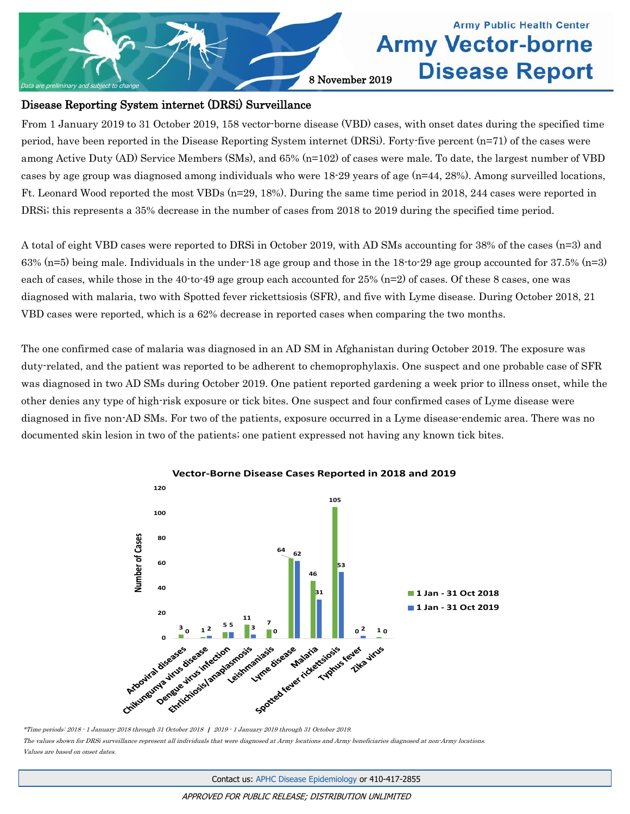

## **Army Public Health Center Army Vector-borne Disease Report**

#### Disease Reporting System internet (DRSi) Surveillance

From 1 January 2019 to 31 October 2019, 158 vector-borne disease (VBD) cases, with onset dates during the specified time period, have been reported in the Disease Reporting System internet (DRSi). Forty-five percent (n=71) of the cases were among Active Duty (AD) Service Members (SMs), and 65% (n=102) of cases were male. To date, the largest number of VBD cases by age group was diagnosed among individuals who were 18-29 years of age (n=44, 28%). Among surveilled locations, Ft. Leonard Wood reported the most VBDs (n=29, 18%). During the same time period in 2018, 244 cases were reported in DRSi; this represents a 35% decrease in the number of cases from 2018 to 2019 during the specified time period.

A total of eight VBD cases were reported to DRSi in October 2019, with AD SMs accounting for 38% of the cases (n=3) and 63% (n=5) being male. Individuals in the under-18 age group and those in the 18-to-29 age group accounted for 37.5% (n=3) each of cases, while those in the 40-to-49 age group each accounted for 25% (n=2) of cases. Of these 8 cases, one was diagnosed with malaria, two with Spotted fever rickettsiosis (SFR), and five with Lyme disease. During October 2018, 21 VBD cases were reported, which is a 62% decrease in reported cases when comparing the two months.

The one confirmed case of malaria was diagnosed in an AD SM in Afghanistan during October 2019. The exposure was duty-related, and the patient was reported to be adherent to chemoprophylaxis. One suspect and one probable case of SFR was diagnosed in two AD SMs during October 2019. One patient reported gardening a week prior to illness onset, while the other denies any type of high-risk exposure or tick bites. One suspect and four confirmed cases of Lyme disease were diagnosed in five non-AD SMs. For two of the patients, exposure occurred in a Lyme disease-endemic area. There was no documented skin lesion in two of the patients; one patient expressed not having any known tick bites.



**Vector-Borne Disease Cases Reported in 2018 and 2019**

The values shown for DRSi surveillance represent all individuals that were diagnosed at Army locations and Army beneficiaries diagnosed at non-Army locations. Values are based on onset dates.

<sup>\*</sup>Time periods: 2018 - 1 January 2018 through 31 October 2018 | 2019 - 1 January 2019 through 31 October 2019.